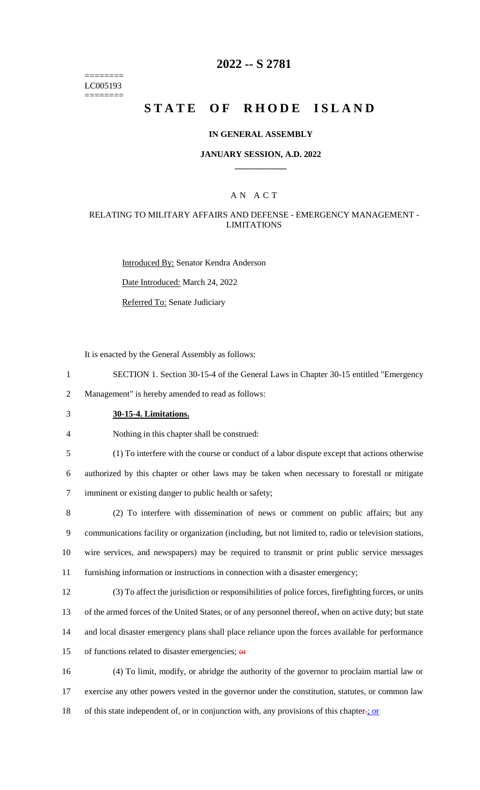======== LC005193 ========

### **2022 -- S 2781**

# **STATE OF RHODE ISLAND**

#### **IN GENERAL ASSEMBLY**

### **JANUARY SESSION, A.D. 2022 \_\_\_\_\_\_\_\_\_\_\_\_**

### A N A C T

### RELATING TO MILITARY AFFAIRS AND DEFENSE - EMERGENCY MANAGEMENT - LIMITATIONS

Introduced By: Senator Kendra Anderson

Date Introduced: March 24, 2022

Referred To: Senate Judiciary

It is enacted by the General Assembly as follows:

1 SECTION 1. Section 30-15-4 of the General Laws in Chapter 30-15 entitled "Emergency

2 Management" is hereby amended to read as follows:

- 3 **30-15-4. Limitations.**
- 4 Nothing in this chapter shall be construed:

5 (1) To interfere with the course or conduct of a labor dispute except that actions otherwise

6 authorized by this chapter or other laws may be taken when necessary to forestall or mitigate 7 imminent or existing danger to public health or safety;

 (2) To interfere with dissemination of news or comment on public affairs; but any communications facility or organization (including, but not limited to, radio or television stations, wire services, and newspapers) may be required to transmit or print public service messages furnishing information or instructions in connection with a disaster emergency;

 (3) To affect the jurisdiction or responsibilities of police forces, firefighting forces, or units of the armed forces of the United States, or of any personnel thereof, when on active duty; but state and local disaster emergency plans shall place reliance upon the forces available for performance 15 of functions related to disaster emergencies;  $\theta$ **F** 

16 (4) To limit, modify, or abridge the authority of the governor to proclaim martial law or 17 exercise any other powers vested in the governor under the constitution, statutes, or common law 18 of this state independent of, or in conjunction with, any provisions of this chapter.; or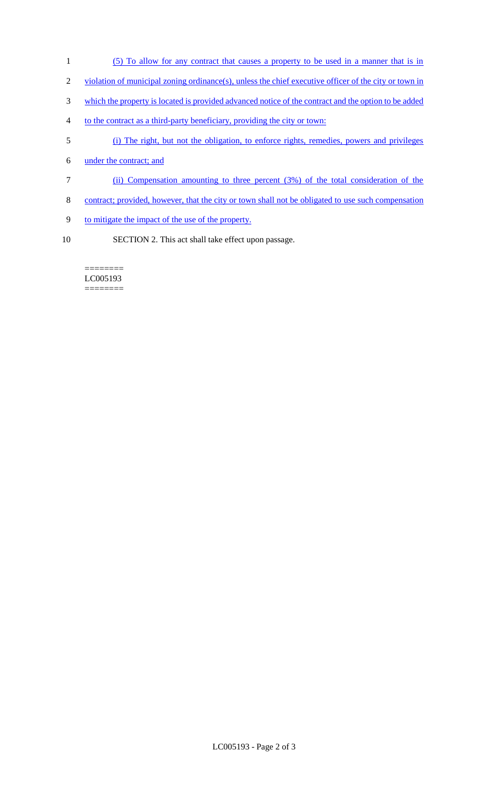- (5) To allow for any contract that causes a property to be used in a manner that is in
- violation of municipal zoning ordinance(s), unless the chief executive officer of the city or town in
- which the property is located is provided advanced notice of the contract and the option to be added
- to the contract as a third-party beneficiary, providing the city or town:
- (i) The right, but not the obligation, to enforce rights, remedies, powers and privileges
- under the contract; and
- (ii) Compensation amounting to three percent (3%) of the total consideration of the
- 8 contract; provided, however, that the city or town shall not be obligated to use such compensation
- to mitigate the impact of the use of the property.
- SECTION 2. This act shall take effect upon passage.

#### ======== LC005193 ========